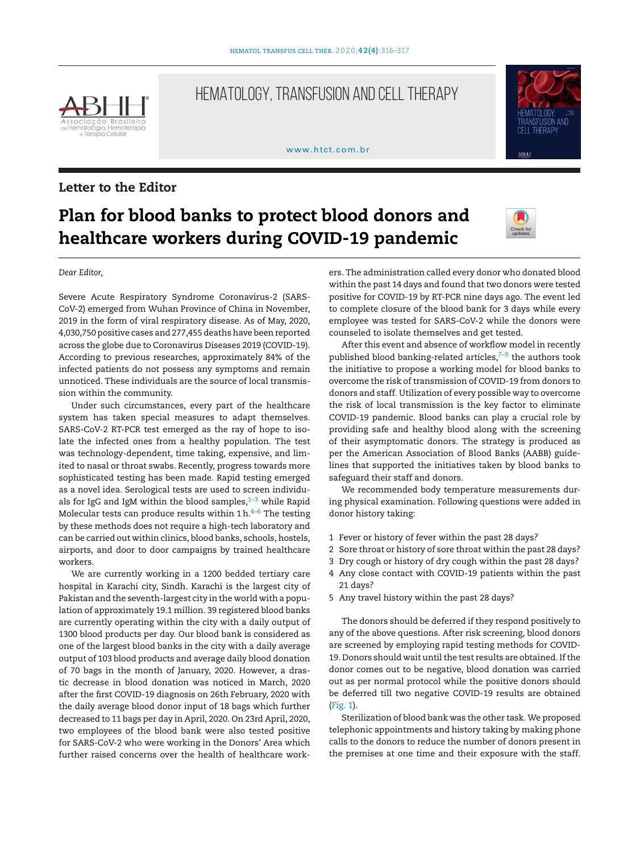

## HEMATOLOGY, TRANSFUSION AND CELL THERAPY

[www.htct.com.br](http://www.htct.com.br)



workers.

## **Plan for blood banks to protect blood donors and healthcare workers during COVID-19 pandemic**



 $\triangle BHI$ 

**CELL THERAPY** 

*Dear Editor,* Severe Acute Respiratory Syndrome Coronavirus-2 (SARS-CoV-2) emerged from Wuhan Province of China in November, 2019 in the form of viral respiratory disease. As of May, 2020, 4,030,750 positive cases and 277,455 deaths have been reported across the globe due to Coronavirus Diseases 2019 (COVID-19). According to previous researches, approximately 84% of the

infected patients do not possess any symptoms and remain

unnoticed. These individuals are the source of local transmission within the community. Under such circumstances, every part of the healthcare system has taken special measures to adapt themselves. SARS-CoV-2 RT-PCR test emerged as the ray of hope to isolate the infected ones from a healthy population. The test was technology-dependent, time taking, expensive, and limited to nasal or throat swabs. Recently, progress towards more sophisticated testing has been made. Rapid testing emerged as a novel idea. Serological tests are used to screen individuals for IgG and IgM within the blood samples, $1-3$  while Rapid Molecular tests can produce results within 1 h. $^{4-6}$  The testing by these methods does not require a high-tech laboratory and can be carried out within clinics, blood banks, schools, hostels, airports, and door to door campaigns by trained healthcare

We are currently working in a 1200 bedded tertiary care hospital in Karachi city, Sindh. Karachi is the largest city of Pakistan and the seventh-largest city in the world with a population of approximately 19.1 million. 39 registered blood banks are currently operating within the city with a daily output of 1300 blood products per day. Our blood bank is considered as one of the largest blood banks in the city with a daily average output of 103 blood products and average daily blood donation of 70 bags in the month of January, 2020. However, a drastic decrease in blood donation was noticed in March, 2020 after the first COVID-19 diagnosis on 26th February, 2020 with the daily average blood donor input of 18 bags which further decreased to 11 bags per day in April, 2020. On 23rd April, 2020, two employees of the blood bank were also tested positive for SARS-CoV-2 who were working in the Donors' Area which further raised concerns over the health of healthcare workers. The administration called every donor who donated blood within the past 14 days and found that two donors were tested positive for COVID-19 by RT-PCR nine days ago. The event led to complete closure of the blood bank for 3 days while every employee was tested for SARS-CoV-2 while the donors were counseled to isolate themselves and get tested.

After this event and absence of workflow model in recently published blood banking-related articles, $7-9$  the authors took the initiative to propose a working model for blood banks to overcome the risk of transmission of COVID-19 from donors to donors and staff. Utilization of every possible way to overcome the risk of local transmission is the key factor to eliminate COVID-19 pandemic. Blood banks can play a crucial role by providing safe and healthy blood along with the screening of their asymptomatic donors. The strategy is produced as per the American Association of Blood Banks (AABB) guidelines that supported the initiatives taken by blood banks to safeguard their staff and donors.

We recommended body temperature measurements during physical examination. Following questions were added in donor history taking:

- 1 Fever or history of fever within the past 28 days?
- 2 Sore throat or history of sore throat within the past 28 days?
- 3 Dry cough or history of dry cough within the past 28 days?
- 4 Any close contact with COVID-19 patients within the past 21 days?
- 5 Any travel history within the past 28 days?

The donors should be deferred if they respond positively to any of the above questions. After risk screening, blood donors are screened by employing rapid testing methods for COVID-19. Donors should wait until the test results are obtained. If the donor comes out to be negative, blood donation was carried out as per normal protocol while the positive donors should be deferred till two negative COVID-19 results are obtained ([Fig.](#page-1-0) 1).

Sterilization of blood bank was the other task. We proposed telephonic appointments and history taking by making phone calls to the donors to reduce the number of donors present in the premises at one time and their exposure with the staff.